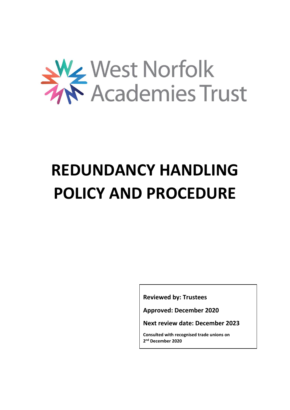

# **REDUNDANCY HANDLING POLICY AND PROCEDURE**

**Reviewed by: Trustees**

**Approved: December 2020**

**Next review date: December 2023**

**Consulted with recognised trade unions on 2 nd December 2020**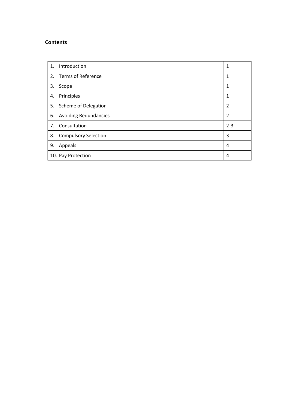## **Contents**

| 1. | Introduction                 | 1              |
|----|------------------------------|----------------|
| 2. | Terms of Reference           | 1              |
| 3. | Scope                        | 1              |
| 4. | Principles                   | 1              |
|    | 5. Scheme of Delegation      | $\overline{2}$ |
| 6. | <b>Avoiding Redundancies</b> | $\overline{2}$ |
| 7. | Consultation                 | $2 - 3$        |
| 8. | <b>Compulsory Selection</b>  | 3              |
| 9. | Appeals                      | 4              |
|    | 10. Pay Protection           | 4              |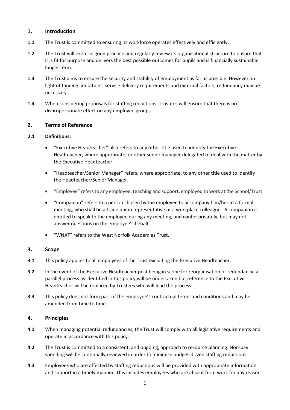#### **1. Introduction**

- **1.1** The Trust is committed to ensuring its workforce operates effectively and efficiently.
- **1.2** The Trust will exercise good practice and regularly review its organisational structure to ensure that it is fit for purpose and delivers the best possible outcomes for pupils and is financially sustainable longer term.
- **1.3** The Trust aims to ensure the security and stability of employment as far as possible. However, in light of funding limitations, service delivery requirements and external factors, redundancy may be necessary.
- **1.4** When considering proposals for staffing reductions, Trustees will ensure that there is no disproportionate effect on any employee groups.

#### **2. Terms of Reference**

#### **2.1 Definitions:**

- "Executive Headteacher" also refers to any other title used to identify the Executive Headteacher, where appropriate, or other senior manager delegated to deal with the matter by the Executive Headteacher.
- "Headteacher/Senior Manager" refers, where appropriate, to any other title used to identify the Headteacher/Senior Manager.
- "Employee" refers to any employee, teaching and support, employed to work at the School/Trust
- "Companion" refers to a person chosen by the employee to accompany him/her at a formal meeting, who shall be a trade union representative or a workplace colleague. A companion is entitled to speak to the employee during any meeting, and confer privately, but may not answer questions on the employee's behalf.
- "WNAT" refers to the West Norfolk Academies Trust.

#### **3. Scope**

- **3.1** This policy applies to all employees of the Trust excluding the Executive Headteacher.
- **3.2** In the event of the Executive Headteacher post being in scope for reorganisation or redundancy, a parallel process as identified in this policy will be undertaken but reference to the Executive Headteacher will be replaced by Trustees who will lead the process.
- **3.3** This policy does not form part of the employee's contractual terms and conditions and may be amended from time to time.

## **4. Principles**

- **4.1** When managing potential redundancies, the Trust will comply with all legislative requirements and operate in accordance with this policy.
- **4.2** The Trust is committed to a consistent, and ongoing, approach to resource planning. Non-pay spending will be continually reviewed in order to minimise budget-driven staffing reductions.
- **4.3** Employees who are affected by staffing reductions will be provided with appropriate information and support in a timely manner. This includes employees who are absent from work for any reason.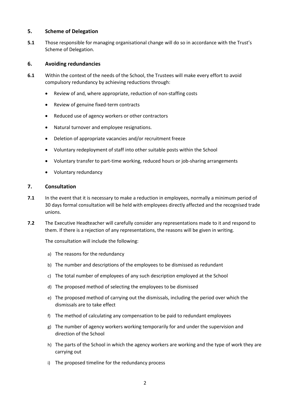#### **5. Scheme of Delegation**

**5.1** Those responsible for managing organisational change will do so in accordance with the Trust's Scheme of Delegation.

#### **6. Avoiding redundancies**

- **6.1** Within the context of the needs of the School, the Trustees will make every effort to avoid compulsory redundancy by achieving reductions through:
	- Review of and, where appropriate, reduction of non-staffing costs
	- Review of genuine fixed-term contracts
	- Reduced use of agency workers or other contractors
	- Natural turnover and employee resignations.
	- Deletion of appropriate vacancies and/or recruitment freeze
	- Voluntary redeployment of staff into other suitable posts within the School
	- Voluntary transfer to part-time working, reduced hours or job-sharing arrangements
	- Voluntary redundancy

#### **7. Consultation**

- **7.1** In the event that it is necessary to make a reduction in employees, normally a minimum period of 30 days formal consultation will be held with employees directly affected and the recognised trade unions.
- **7.2** The Executive Headteacher will carefully consider any representations made to it and respond to them. If there is a rejection of any representations, the reasons will be given in writing.

The consultation will include the following:

- a) The reasons for the redundancy
- b) The number and descriptions of the employees to be dismissed as redundant
- c) The total number of employees of any such description employed at the School
- d) The proposed method of selecting the employees to be dismissed
- e) The proposed method of carrying out the dismissals, including the period over which the dismissals are to take effect
- f) The method of calculating any compensation to be paid to redundant employees
- g) The number of agency workers working temporarily for and under the supervision and direction of the School
- h) The parts of the School in which the agency workers are working and the type of work they are carrying out
- i) The proposed timeline for the redundancy process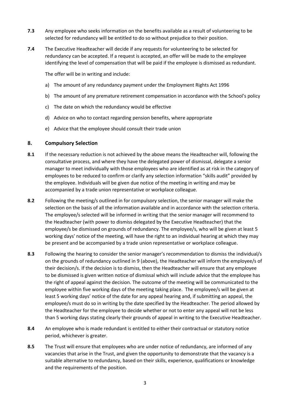- **7.3** Any employee who seeks information on the benefits available as a result of volunteering to be selected for redundancy will be entitled to do so without prejudice to their position.
- **7.4** The Executive Headteacher will decide if any requests for volunteering to be selected for redundancy can be accepted. If a request is accepted, an offer will be made to the employee identifying the level of compensation that will be paid if the employee is dismissed as redundant.

The offer will be in writing and include:

- a) The amount of any redundancy payment under the Employment Rights Act 1996
- b) The amount of any premature retirement compensation in accordance with the School's policy
- c) The date on which the redundancy would be effective
- d) Advice on who to contact regarding pension benefits, where appropriate
- e) Advice that the employee should consult their trade union

#### **8. Compulsory Selection**

- **8.1** If the necessary reduction is not achieved by the above means the Headteacher will, following the consultative process, and where they have the delegated power of dismissal, delegate a senior manager to meet individually with those employees who are identified as at risk in the category of employees to be reduced to confirm or clarify any selection information "skills audit" provided by the employee. Individuals will be given due notice of the meeting in writing and may be accompanied by a trade union representative or workplace colleague.
- **8.2** Following the meeting/s outlined in for compulsory selection, the senior manager will make the selection on the basis of all the information available and in accordance with the selection criteria. The employee/s selected will be informed in writing that the senior manager will recommend to the Headteacher (with power to dismiss delegated by the Executive Headteacher) that the employee/s be dismissed on grounds of redundancy. The employee/s, who will be given at least 5 working days' notice of the meeting, will have the right to an individual hearing at which they may be present and be accompanied by a trade union representative or workplace colleague.
- **8.3** Following the hearing to consider the senior manager's recommendation to dismiss the individual/s on the grounds of redundancy outlined in 9 (above), the Headteacher will inform the employee/s of their decision/s. If the decision is to dismiss, then the Headteacher will ensure that any employee to be dismissed is given written notice of dismissal which will include advice that the employee has the right of appeal against the decision. The outcome of the meeting will be communicated to the employee within five working days of the meeting taking place. The employee/s will be given at least 5 working days' notice of the date for any appeal hearing and, if submitting an appeal, the employee/s must do so in writing by the date specified by the Headteacher. The period allowed by the Headteacher for the employee to decide whether or not to enter any appeal will not be less than 5 working days stating clearly their grounds of appeal in writing to the Executive Headteacher.
- **8.4** An employee who is made redundant is entitled to either their contractual or statutory notice period, whichever is greater.
- **8.5** The Trust will ensure that employees who are under notice of redundancy, are informed of any vacancies that arise in the Trust, and given the opportunity to demonstrate that the vacancy is a suitable alternative to redundancy, based on their skills, experience, qualifications or knowledge and the requirements of the position.